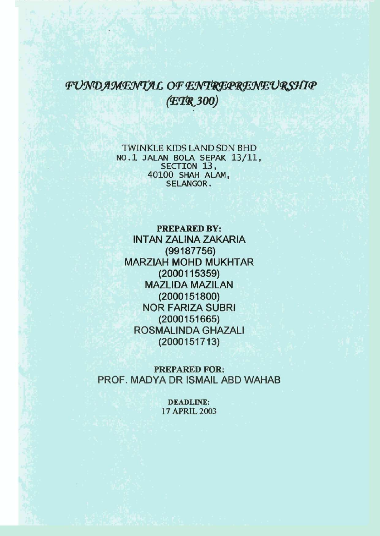## FUNDAMENTAL OF ENTREPRENEURSHIP *(<El®i300)*

TWINKLE KIDS LAND SDN BHD NO.1 JALAN BOLA SEPAK 13/11,<br>SECTION 13, 40100 SHAH ALAM, SELANGOR. SELANGOR.

**PREPARED BY: INTAN ZALINA ZAKARIA (99187756) MARZIAH MOHD MUKHTAR (2000115359) MAZLIDA MAZILAN (2000151800) NOR FARIZA SUBRI (2000151665) ROSMALINDAGHAZALI (2000151713)** 

**PREPARED FOR: PROF. MADYA DR ISMAIL ABD WAHAB** 

> **DEADLINE:**  17 APRIL 2003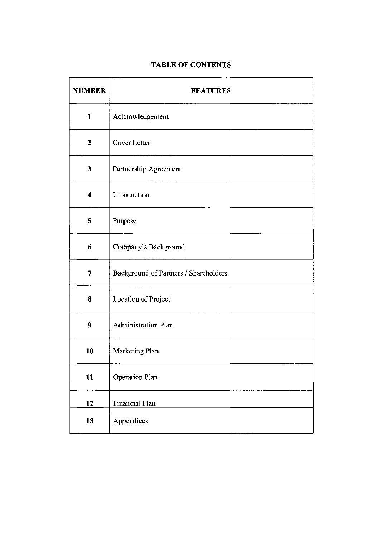## **TABLE OF CONTENTS**

| <b>NUMBER</b>           | <b>FEATURES</b>                       |
|-------------------------|---------------------------------------|
| $\mathbf{1}$            | Acknowledgement                       |
| $\overline{2}$          | Cover Letter                          |
| 3                       | Partnership Agreement                 |
| $\overline{\mathbf{4}}$ | Introduction                          |
| 5                       | Purpose                               |
| 6                       | Company's Background                  |
| 7                       | Background of Partners / Shareholders |
| 8                       | Location of Project                   |
| 9                       | <b>Administration Plan</b>            |
| 10                      | Marketing Plan                        |
| 11                      | Operation Plan                        |
| 12                      | <b>Financial Plan</b>                 |
| 13                      | Appendices                            |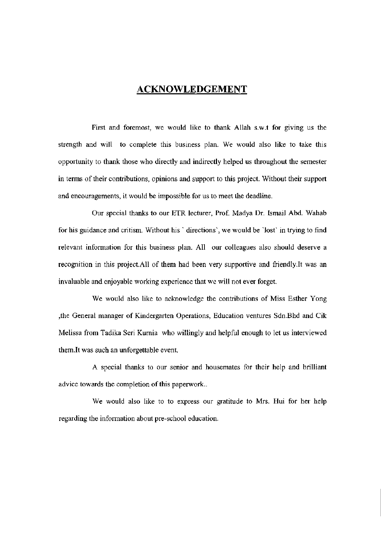## ACKNOWLEDGEMENT

First and foremost, we would like to thank Allah s.w.t for giving us the strength and will to complete this business plan. We would also like to take this opportunity to thank those who directly and indirectly helped us throughout the semester in terms of their contributions, opinions and support to this project. Without their support and encouragements, it would be impossible for us to meet the deadline.

Our special thanks to our ETR lecturer, Prof. Madya Dr. Ismail Abd. Wahab for his guidance and critism. Without his ' directions', we would be 'lost' in trying to find relevant information for this business plan. All our colleagues also should deserve a recognition in this project.AU of them had been very supportive and [friendly.lt](http://friendly.lt) was an invaluable and enjoyable working experience that we will not ever forget.

We would also like to acknowledge the contributions of Miss Esther Yong ,the General manager of Kindergarten Operations, Education ventures Sdn.Bhd and Cik Melissa from Tadika Seri Kurnia who willingly and helpful enough to let us interviewed [them.lt](http://them.lt) was such an unforgettable event.

A special thanks to our senior and housemates for their help and brilliant advice towards the completion of this paperwork..

We would also like to to express our gratitude to Mrs. Hui for her help regarding the information about pre-school education.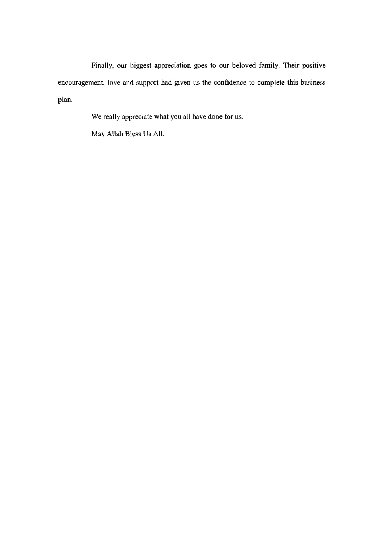Finally, our biggest appreciation goes to our beloved family. Their positive encouragement, love and support had given us the confidence to complete this business plan.

We really appreciate what you all have done for us.

May Allah Bless Us All.